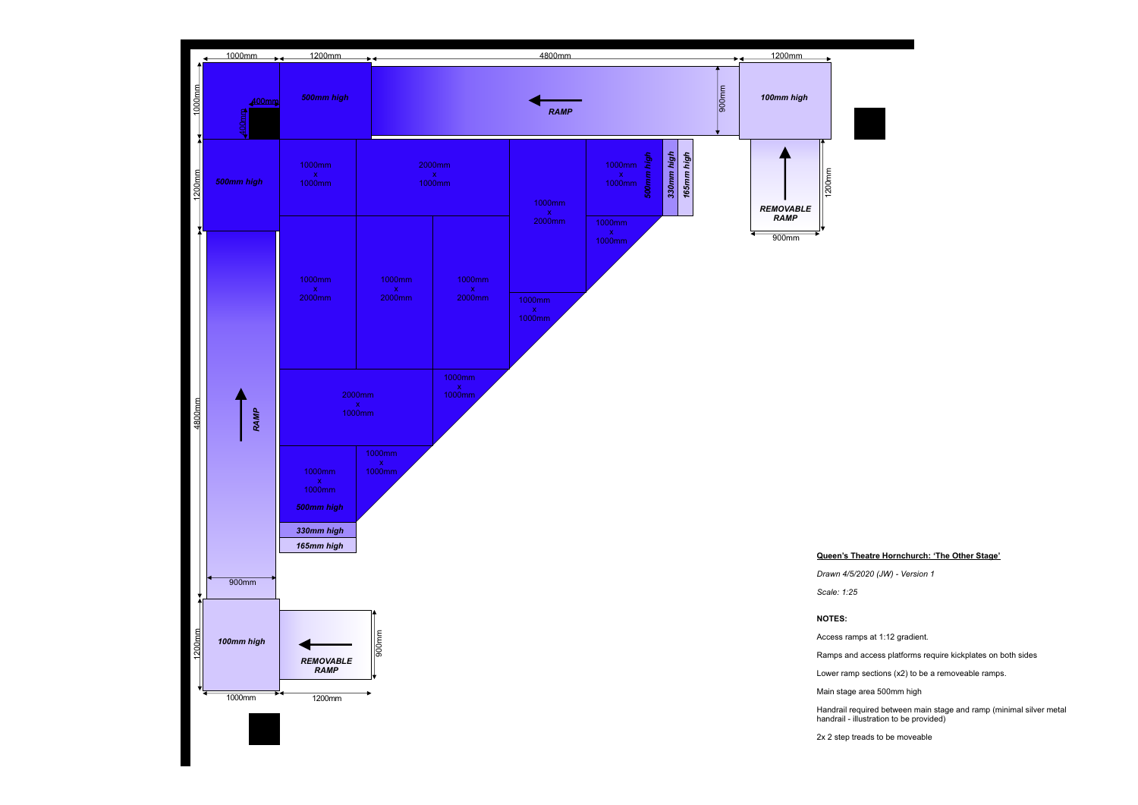Handrail required between main stage and ramp (minimal silver metal handrail - illustration to be provided)

## **Queen's Theatre Hornchurch: 'The Other Stage'**

*Drawn 4/5/2020 (JW) - Version 1*



Ramps and access platforms require kickplates on both sides

Lower ramp sections (x2) to be a removeable ramps.